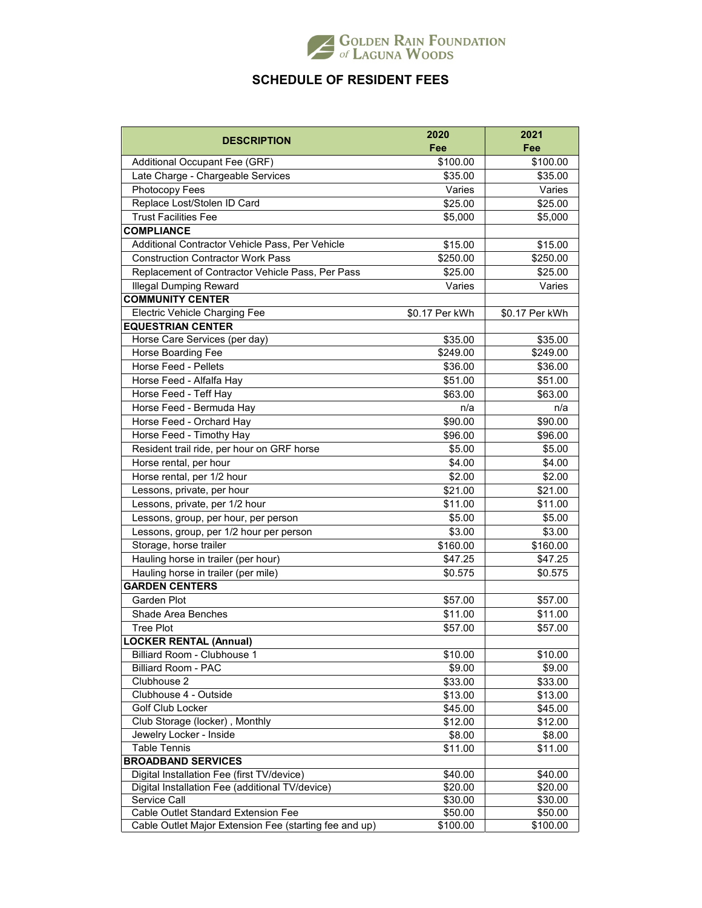

## **SCHEDULE OF RESIDENT FEES**

|                                                        | 2020           | 2021           |
|--------------------------------------------------------|----------------|----------------|
| <b>DESCRIPTION</b>                                     | Fee            | Fee            |
| Additional Occupant Fee (GRF)                          | \$100.00       | \$100.00       |
| Late Charge - Chargeable Services                      | \$35.00        | \$35.00        |
| Photocopy Fees                                         | Varies         | Varies         |
| Replace Lost/Stolen ID Card                            | \$25.00        | \$25.00        |
| <b>Trust Facilities Fee</b>                            | \$5,000        | \$5,000        |
| <b>COMPLIANCE</b>                                      |                |                |
| Additional Contractor Vehicle Pass, Per Vehicle        | \$15.00        | \$15.00        |
| <b>Construction Contractor Work Pass</b>               | \$250.00       | \$250.00       |
| Replacement of Contractor Vehicle Pass, Per Pass       | \$25.00        | \$25.00        |
| <b>Illegal Dumping Reward</b>                          | Varies         | Varies         |
| <b>COMMUNITY CENTER</b>                                |                |                |
| <b>Electric Vehicle Charging Fee</b>                   | \$0.17 Per kWh | \$0.17 Per kWh |
| <b>EQUESTRIAN CENTER</b>                               |                |                |
| Horse Care Services (per day)                          | \$35.00        | \$35.00        |
| Horse Boarding Fee                                     | \$249.00       | \$249.00       |
| Horse Feed - Pellets                                   | \$36.00        | \$36.00        |
| Horse Feed - Alfalfa Hay                               | \$51.00        | \$51.00        |
| Horse Feed - Teff Hay                                  | \$63.00        | \$63.00        |
| Horse Feed - Bermuda Hay                               | n/a            | n/a            |
| Horse Feed - Orchard Hay                               | \$90.00        | \$90.00        |
| Horse Feed - Timothy Hay                               | \$96.00        | \$96.00        |
| Resident trail ride, per hour on GRF horse             | \$5.00         | \$5.00         |
| Horse rental, per hour                                 | \$4.00         | \$4.00         |
| Horse rental, per 1/2 hour                             | \$2.00         | \$2.00         |
| Lessons, private, per hour                             | \$21.00        | \$21.00        |
| Lessons, private, per 1/2 hour                         | \$11.00        | \$11.00        |
| Lessons, group, per hour, per person                   | \$5.00         | \$5.00         |
| Lessons, group, per 1/2 hour per person                | \$3.00         | \$3.00         |
| Storage, horse trailer                                 | \$160.00       | \$160.00       |
| Hauling horse in trailer (per hour)                    | \$47.25        | \$47.25        |
| Hauling horse in trailer (per mile)                    | \$0.575        | \$0.575        |
| <b>GARDEN CENTERS</b>                                  |                |                |
| Garden Plot                                            | \$57.00        | \$57.00        |
| Shade Area Benches                                     | \$11.00        | \$11.00        |
| <b>Tree Plot</b>                                       | \$57.00        | \$57.00        |
| <b>LOCKER RENTAL (Annual)</b>                          |                |                |
| Billiard Room - Clubhouse 1                            | \$10.00        | \$10.00        |
| <b>Billiard Room - PAC</b>                             | \$9.00         | \$9.00         |
| Clubhouse 2                                            | \$33.00        | \$33.00        |
| Clubhouse 4 - Outside                                  | \$13.00        | \$13.00        |
| Golf Club Locker                                       | \$45.00        | \$45.00        |
| Club Storage (locker), Monthly                         | \$12.00        | \$12.00        |
| Jewelry Locker - Inside                                | \$8.00         | \$8.00         |
| <b>Table Tennis</b>                                    | \$11.00        | \$11.00        |
| <b>BROADBAND SERVICES</b>                              |                |                |
| Digital Installation Fee (first TV/device)             | \$40.00        | \$40.00        |
| Digital Installation Fee (additional TV/device)        | \$20.00        | \$20.00        |
| Service Call                                           | \$30.00        | \$30.00        |
| Cable Outlet Standard Extension Fee                    | \$50.00        | \$50.00        |
| Cable Outlet Major Extension Fee (starting fee and up) | \$100.00       | \$100.00       |